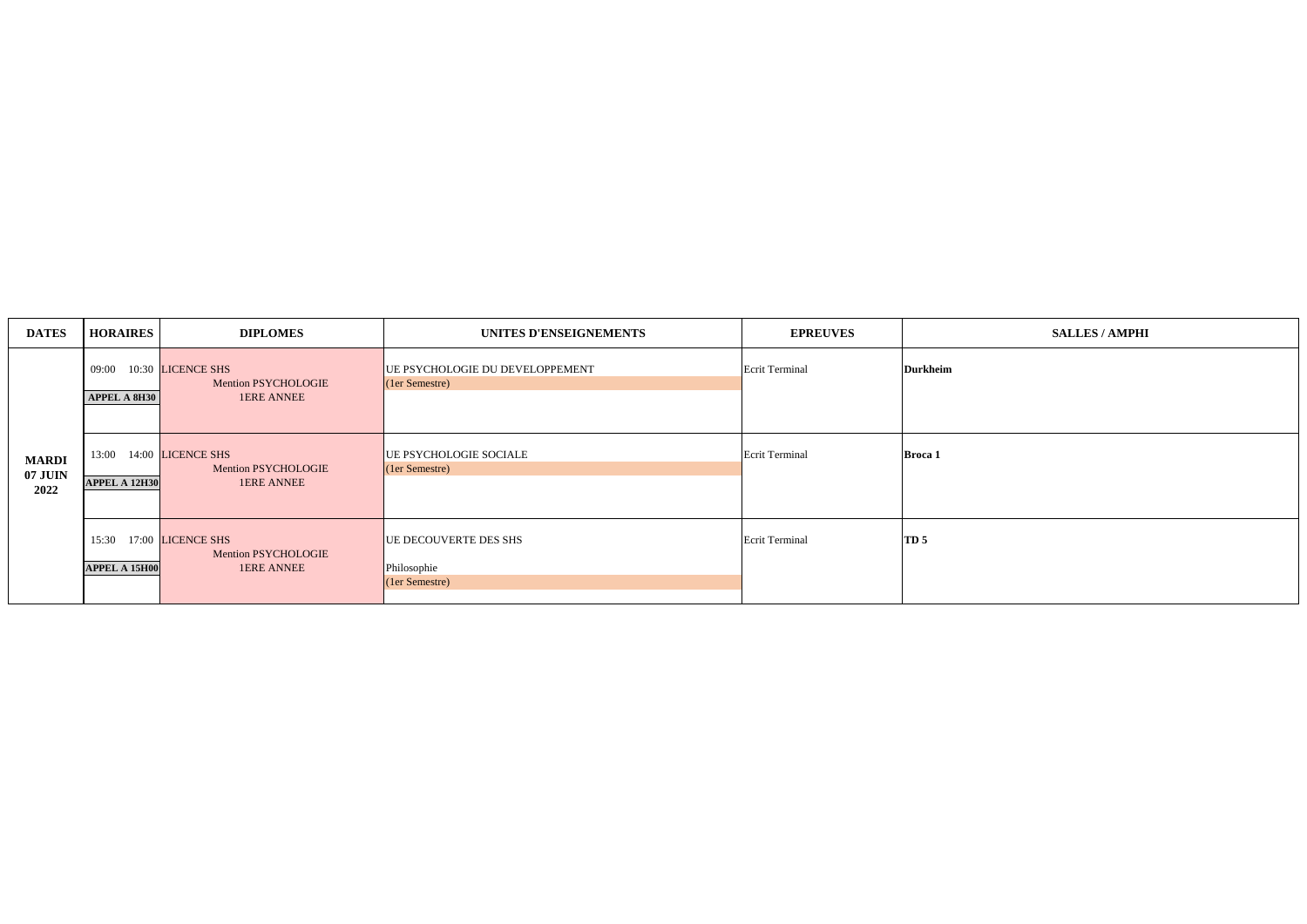## **SALLES / AMPHI**

| <b>DATES</b>                    | <b>HORAIRES</b>               | <b>DIPLOMES</b>                                                      | UNITES D'ENSEIGNEMENTS                                 | <b>EPREUVES</b>       |                 |
|---------------------------------|-------------------------------|----------------------------------------------------------------------|--------------------------------------------------------|-----------------------|-----------------|
| <b>MARDI</b><br>07 JUIN<br>2022 | 09:00<br><b>APPEL A 8H30</b>  | 10:30 LICENCE SHS<br><b>Mention PSYCHOLOGIE</b><br><b>1ERE ANNEE</b> | UE PSYCHOLOGIE DU DEVELOPPEMENT<br>(1er Semestre)      | <b>Ecrit Terminal</b> | <b>Durkheim</b> |
|                                 | 13:00<br><b>APPEL A 12H30</b> | 14:00 LICENCE SHS<br><b>Mention PSYCHOLOGIE</b><br><b>1ERE ANNEE</b> | UE PSYCHOLOGIE SOCIALE<br>(1er Semestre)               | <b>Ecrit Terminal</b> | <b>Broca 1</b>  |
|                                 | 15:30<br><b>APPEL A 15H00</b> | 17:00 LICENCE SHS<br>Mention PSYCHOLOGIE<br><b>1ERE ANNEE</b>        | UE DECOUVERTE DES SHS<br>Philosophie<br>(1er Semestre) | <b>Ecrit Terminal</b> | TD <sub>5</sub> |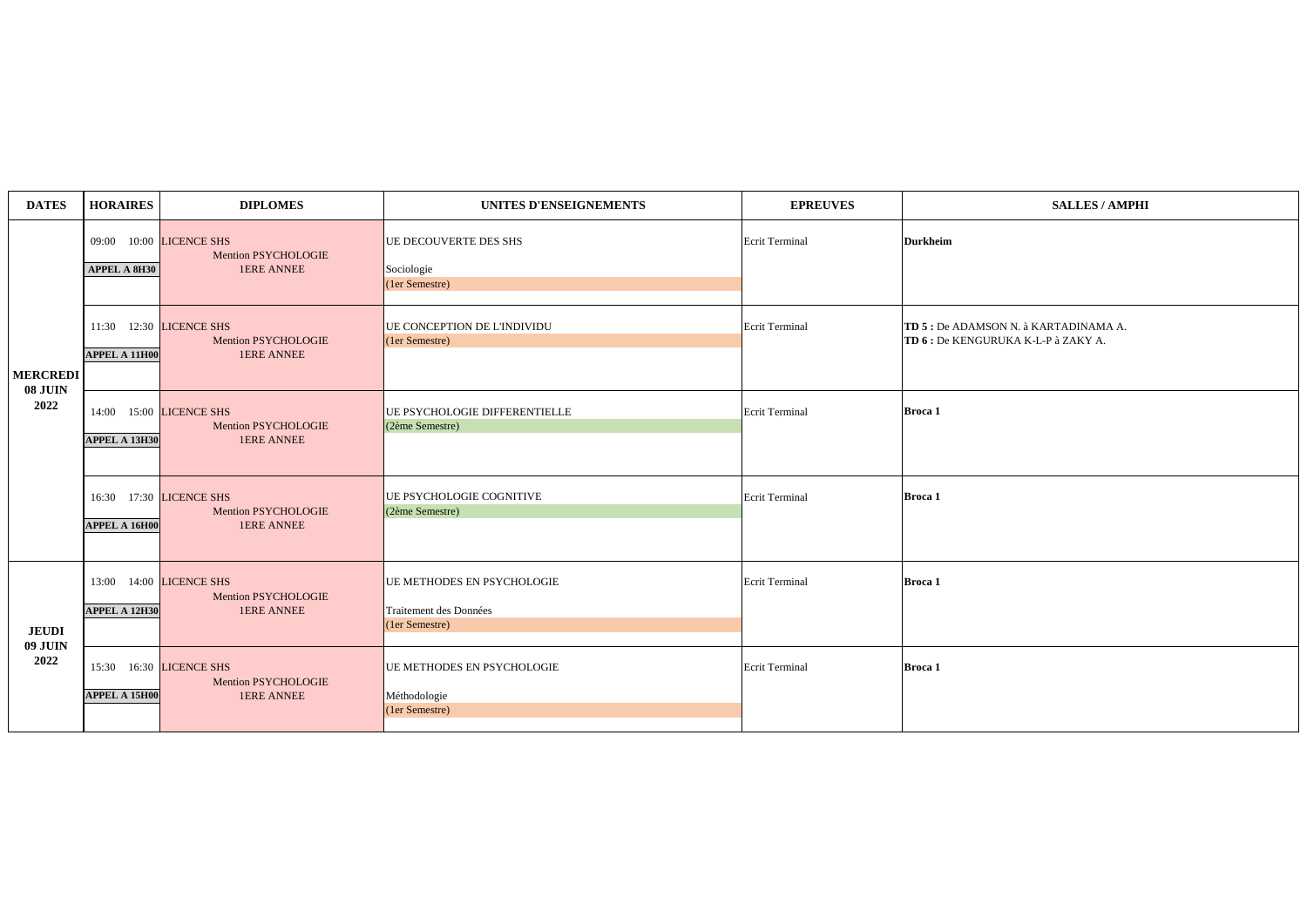| <b>DATES</b>                              | <b>HORAIRES</b>                                 | <b>DIPLOMES</b>                                                              | <b>UNITES D'ENSEIGNEMENTS</b>                                          | <b>EPREUVES</b>       | <b>SALLES / AMPHI</b>                                                        |
|-------------------------------------------|-------------------------------------------------|------------------------------------------------------------------------------|------------------------------------------------------------------------|-----------------------|------------------------------------------------------------------------------|
| <b>MERCREDI</b><br><b>08 JUIN</b><br>2022 | 09:00 10:00 LICENCE SHS<br><b>APPEL A 8H30</b>  | <b>Mention PSYCHOLOGIE</b><br><b>1ERE ANNEE</b>                              | UE DECOUVERTE DES SHS<br>Sociologie<br>(1er Semestre)                  | Ecrit Terminal        | Durkheim                                                                     |
|                                           | 11:30 12:30 LICENCE SHS<br><b>APPEL A 11H00</b> | <b>Mention PSYCHOLOGIE</b><br><b>1ERE ANNEE</b>                              | UE CONCEPTION DE L'INDIVIDU<br>(1er Semestre)                          | <b>Ecrit Terminal</b> | TD 5 : De ADAMSON N. à KARTADINAMA A.<br>TD 6 : De KENGURUKA K-L-P à ZAKY A. |
|                                           | 14:00 15:00 LICENCE SHS<br><b>APPEL A 13H30</b> | <b>Mention PSYCHOLOGIE</b><br><b>1ERE ANNEE</b>                              | UE PSYCHOLOGIE DIFFERENTIELLE<br>(2ème Semestre)                       | <b>Ecrit Terminal</b> | <b>Broca 1</b>                                                               |
|                                           | 16:30 17:30 LICENCE SHS<br><b>APPEL A 16H00</b> | <b>Mention PSYCHOLOGIE</b><br><b>1ERE ANNEE</b>                              | UE PSYCHOLOGIE COGNITIVE<br>$(2\text{ème Semestre})$                   | <b>Ecrit Terminal</b> | <b>Broca 1</b>                                                               |
| <b>JEUDI</b><br><b>09 JUIN</b><br>2022    | 13:00 14:00 LICENCE SHS<br><b>APPEL A 12H30</b> | <b>Mention PSYCHOLOGIE</b><br><b>1ERE ANNEE</b>                              | UE METHODES EN PSYCHOLOGIE<br>Traitement des Données<br>(1er Semestre) | <b>Ecrit Terminal</b> | <b>Broca 1</b>                                                               |
|                                           | <b>APPEL A 15H00</b>                            | 15:30  16:30  LICENCE SHS<br><b>Mention PSYCHOLOGIE</b><br><b>1ERE ANNEE</b> | UE METHODES EN PSYCHOLOGIE<br>Méthodologie<br>(1er Semestre)           | Ecrit Terminal        | <b>Broca 1</b>                                                               |